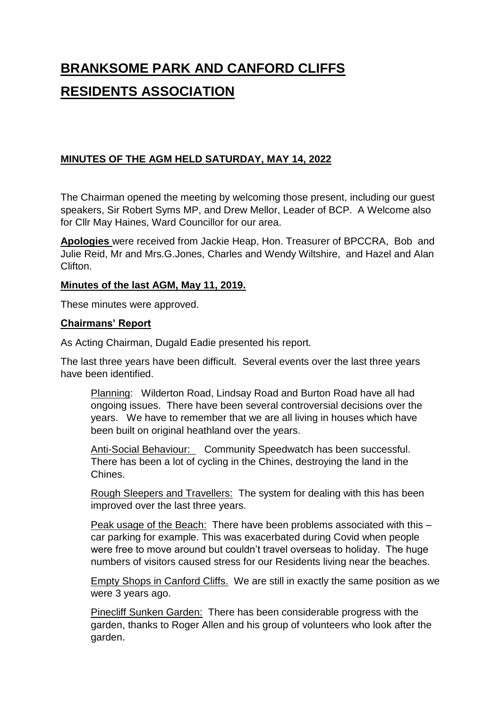# **BRANKSOME PARK AND CANFORD CLIFFS RESIDENTS ASSOCIATION**

# **MINUTES OF THE AGM HELD SATURDAY, MAY 14, 2022**

The Chairman opened the meeting by welcoming those present, including our guest speakers, Sir Robert Syms MP, and Drew Mellor, Leader of BCP. A Welcome also for Cllr May Haines, Ward Councillor for our area.

**Apologies** were received from Jackie Heap, Hon. Treasurer of BPCCRA, Bob and Julie Reid, Mr and Mrs.G.Jones, Charles and Wendy Wiltshire, and Hazel and Alan Clifton.

### **Minutes of the last AGM, May 11, 2019.**

These minutes were approved.

#### **Chairmans' Report**

As Acting Chairman, Dugald Eadie presented his report.

The last three years have been difficult. Several events over the last three years have been identified.

Planning: Wilderton Road, Lindsay Road and Burton Road have all had ongoing issues. There have been several controversial decisions over the years. We have to remember that we are all living in houses which have been built on original heathland over the years.

Anti-Social Behaviour: Community Speedwatch has been successful. There has been a lot of cycling in the Chines, destroying the land in the Chines.

Rough Sleepers and Travellers: The system for dealing with this has been improved over the last three years.

Peak usage of the Beach: There have been problems associated with this – car parking for example. This was exacerbated during Covid when people were free to move around but couldn't travel overseas to holiday. The huge numbers of visitors caused stress for our Residents living near the beaches.

Empty Shops in Canford Cliffs. We are still in exactly the same position as we were 3 years ago.

Pinecliff Sunken Garden: There has been considerable progress with the garden, thanks to Roger Allen and his group of volunteers who look after the garden.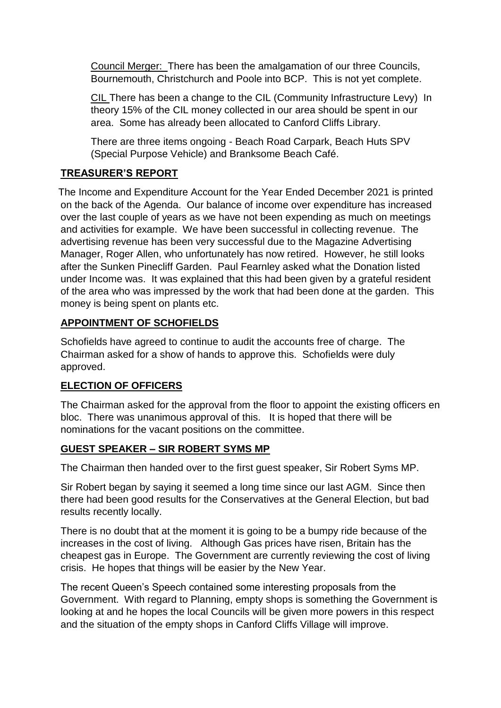Council Merger: There has been the amalgamation of our three Councils, Bournemouth, Christchurch and Poole into BCP. This is not yet complete.

CIL There has been a change to the CIL (Community Infrastructure Levy) In theory 15% of the CIL money collected in our area should be spent in our area. Some has already been allocated to Canford Cliffs Library.

There are three items ongoing - Beach Road Carpark, Beach Huts SPV (Special Purpose Vehicle) and Branksome Beach Café.

# **TREASURER'S REPORT**

 The Income and Expenditure Account for the Year Ended December 2021 is printed on the back of the Agenda. Our balance of income over expenditure has increased over the last couple of years as we have not been expending as much on meetings and activities for example. We have been successful in collecting revenue. The advertising revenue has been very successful due to the Magazine Advertising Manager, Roger Allen, who unfortunately has now retired. However, he still looks after the Sunken Pinecliff Garden. Paul Fearnley asked what the Donation listed under Income was. It was explained that this had been given by a grateful resident of the area who was impressed by the work that had been done at the garden. This money is being spent on plants etc.

# **APPOINTMENT OF SCHOFIELDS**

Schofields have agreed to continue to audit the accounts free of charge. The Chairman asked for a show of hands to approve this. Schofields were duly approved.

# **ELECTION OF OFFICERS**

The Chairman asked for the approval from the floor to appoint the existing officers en bloc. There was unanimous approval of this. It is hoped that there will be nominations for the vacant positions on the committee.

# **GUEST SPEAKER – SIR ROBERT SYMS MP**

The Chairman then handed over to the first guest speaker, Sir Robert Syms MP.

Sir Robert began by saying it seemed a long time since our last AGM. Since then there had been good results for the Conservatives at the General Election, but bad results recently locally.

There is no doubt that at the moment it is going to be a bumpy ride because of the increases in the cost of living. Although Gas prices have risen, Britain has the cheapest gas in Europe. The Government are currently reviewing the cost of living crisis. He hopes that things will be easier by the New Year.

The recent Queen's Speech contained some interesting proposals from the Government. With regard to Planning, empty shops is something the Government is looking at and he hopes the local Councils will be given more powers in this respect and the situation of the empty shops in Canford Cliffs Village will improve.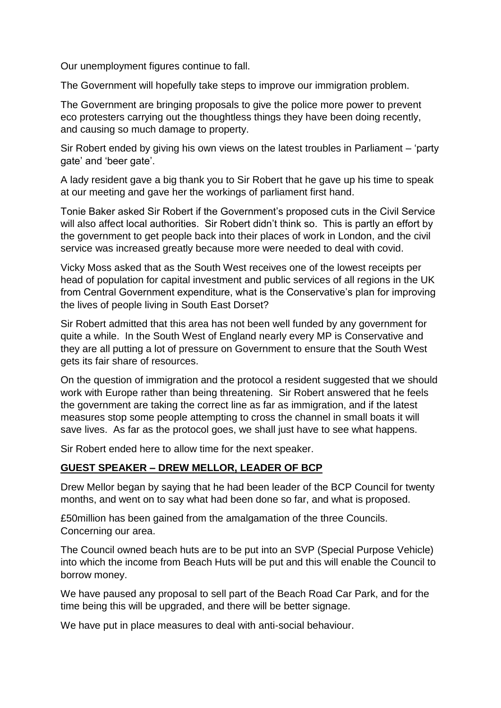Our unemployment figures continue to fall.

The Government will hopefully take steps to improve our immigration problem.

The Government are bringing proposals to give the police more power to prevent eco protesters carrying out the thoughtless things they have been doing recently, and causing so much damage to property.

Sir Robert ended by giving his own views on the latest troubles in Parliament – 'party gate' and 'beer gate'.

A lady resident gave a big thank you to Sir Robert that he gave up his time to speak at our meeting and gave her the workings of parliament first hand.

Tonie Baker asked Sir Robert if the Government's proposed cuts in the Civil Service will also affect local authorities. Sir Robert didn't think so. This is partly an effort by the government to get people back into their places of work in London, and the civil service was increased greatly because more were needed to deal with covid.

Vicky Moss asked that as the South West receives one of the lowest receipts per head of population for capital investment and public services of all regions in the UK from Central Government expenditure, what is the Conservative's plan for improving the lives of people living in South East Dorset?

Sir Robert admitted that this area has not been well funded by any government for quite a while. In the South West of England nearly every MP is Conservative and they are all putting a lot of pressure on Government to ensure that the South West gets its fair share of resources.

On the question of immigration and the protocol a resident suggested that we should work with Europe rather than being threatening. Sir Robert answered that he feels the government are taking the correct line as far as immigration, and if the latest measures stop some people attempting to cross the channel in small boats it will save lives. As far as the protocol goes, we shall just have to see what happens.

Sir Robert ended here to allow time for the next speaker.

# **GUEST SPEAKER – DREW MELLOR, LEADER OF BCP**

Drew Mellor began by saying that he had been leader of the BCP Council for twenty months, and went on to say what had been done so far, and what is proposed.

£50million has been gained from the amalgamation of the three Councils. Concerning our area.

The Council owned beach huts are to be put into an SVP (Special Purpose Vehicle) into which the income from Beach Huts will be put and this will enable the Council to borrow money.

We have paused any proposal to sell part of the Beach Road Car Park, and for the time being this will be upgraded, and there will be better signage.

We have put in place measures to deal with anti-social behaviour.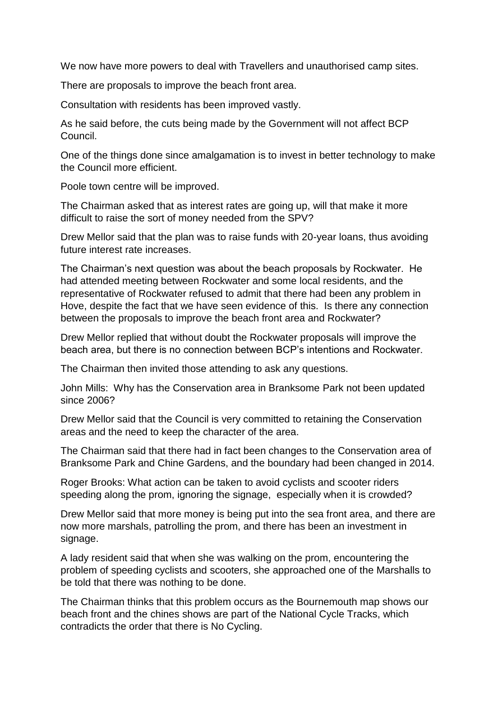We now have more powers to deal with Travellers and unauthorised camp sites.

There are proposals to improve the beach front area.

Consultation with residents has been improved vastly.

As he said before, the cuts being made by the Government will not affect BCP Council.

One of the things done since amalgamation is to invest in better technology to make the Council more efficient.

Poole town centre will be improved.

The Chairman asked that as interest rates are going up, will that make it more difficult to raise the sort of money needed from the SPV?

Drew Mellor said that the plan was to raise funds with 20-year loans, thus avoiding future interest rate increases.

The Chairman's next question was about the beach proposals by Rockwater. He had attended meeting between Rockwater and some local residents, and the representative of Rockwater refused to admit that there had been any problem in Hove, despite the fact that we have seen evidence of this. Is there any connection between the proposals to improve the beach front area and Rockwater?

Drew Mellor replied that without doubt the Rockwater proposals will improve the beach area, but there is no connection between BCP's intentions and Rockwater.

The Chairman then invited those attending to ask any questions.

John Mills: Why has the Conservation area in Branksome Park not been updated since 2006?

Drew Mellor said that the Council is very committed to retaining the Conservation areas and the need to keep the character of the area.

The Chairman said that there had in fact been changes to the Conservation area of Branksome Park and Chine Gardens, and the boundary had been changed in 2014.

Roger Brooks: What action can be taken to avoid cyclists and scooter riders speeding along the prom, ignoring the signage, especially when it is crowded?

Drew Mellor said that more money is being put into the sea front area, and there are now more marshals, patrolling the prom, and there has been an investment in signage.

A lady resident said that when she was walking on the prom, encountering the problem of speeding cyclists and scooters, she approached one of the Marshalls to be told that there was nothing to be done.

The Chairman thinks that this problem occurs as the Bournemouth map shows our beach front and the chines shows are part of the National Cycle Tracks, which contradicts the order that there is No Cycling.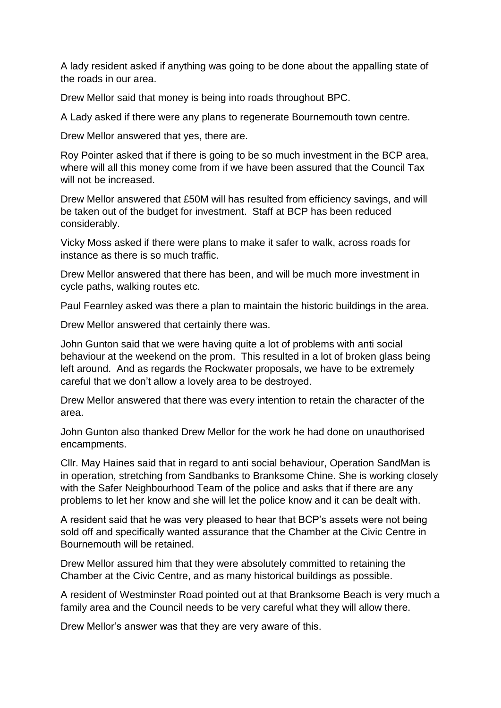A lady resident asked if anything was going to be done about the appalling state of the roads in our area.

Drew Mellor said that money is being into roads throughout BPC.

A Lady asked if there were any plans to regenerate Bournemouth town centre.

Drew Mellor answered that yes, there are.

Roy Pointer asked that if there is going to be so much investment in the BCP area, where will all this money come from if we have been assured that the Council Tax will not be increased.

Drew Mellor answered that £50M will has resulted from efficiency savings, and will be taken out of the budget for investment. Staff at BCP has been reduced considerably.

Vicky Moss asked if there were plans to make it safer to walk, across roads for instance as there is so much traffic.

Drew Mellor answered that there has been, and will be much more investment in cycle paths, walking routes etc.

Paul Fearnley asked was there a plan to maintain the historic buildings in the area.

Drew Mellor answered that certainly there was.

John Gunton said that we were having quite a lot of problems with anti social behaviour at the weekend on the prom. This resulted in a lot of broken glass being left around. And as regards the Rockwater proposals, we have to be extremely careful that we don't allow a lovely area to be destroyed.

Drew Mellor answered that there was every intention to retain the character of the area.

John Gunton also thanked Drew Mellor for the work he had done on unauthorised encampments.

Cllr. May Haines said that in regard to anti social behaviour, Operation SandMan is in operation, stretching from Sandbanks to Branksome Chine. She is working closely with the Safer Neighbourhood Team of the police and asks that if there are any problems to let her know and she will let the police know and it can be dealt with.

A resident said that he was very pleased to hear that BCP's assets were not being sold off and specifically wanted assurance that the Chamber at the Civic Centre in Bournemouth will be retained.

Drew Mellor assured him that they were absolutely committed to retaining the Chamber at the Civic Centre, and as many historical buildings as possible.

A resident of Westminster Road pointed out at that Branksome Beach is very much a family area and the Council needs to be very careful what they will allow there.

Drew Mellor's answer was that they are very aware of this.